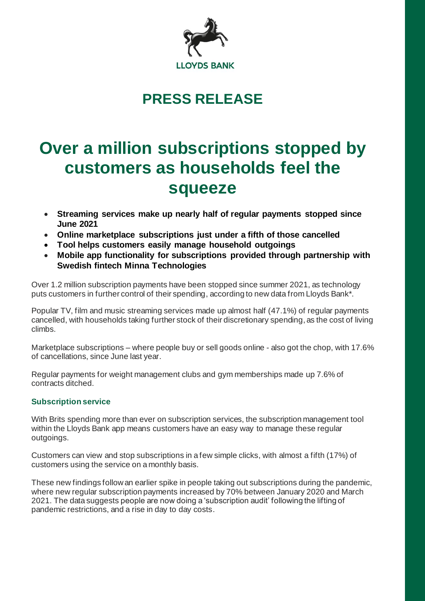

## **PRESS RELEASE**

# **Over a million subscriptions stopped by customers as households feel the squeeze**

- **Streaming services make up nearly half of regular payments stopped since June 2021**
- **Online marketplace subscriptions just under a fifth of those cancelled**
- **Tool helps customers easily manage household outgoings**
- **Mobile app functionality for subscriptions provided through partnership with Swedish fintech Minna Technologies**

Over 1.2 million subscription payments have been stopped since summer 2021, as technology puts customers in further control of their spending, according to new data from Lloyds Bank\*.

Popular TV, film and music streaming services made up almost half (47.1%) of regular payments cancelled, with households taking further stock of their discretionary spending, as the cost of living climbs.

Marketplace subscriptions – where people buy or sell goods online - also got the chop, with 17.6% of cancellations, since June last year.

Regular payments for weight management clubs and gym memberships made up 7.6% of contracts ditched.

## **Subscription service**

With Brits spending more than ever on subscription services, the subscription management tool within the Lloyds Bank app means customers have an easy way to manage these regular outgoings.

Customers can view and stop subscriptions in a few simple clicks, with almost a fifth (17%) of customers using the service on a monthly basis.

These new findings follow an earlier spike in people taking out subscriptions during the pandemic, where new regular subscription payments increased by 70% between January 2020 and March 2021. The data suggests people are now doing a 'subscription audit' following the lifting of pandemic restrictions, and a rise in day to day costs.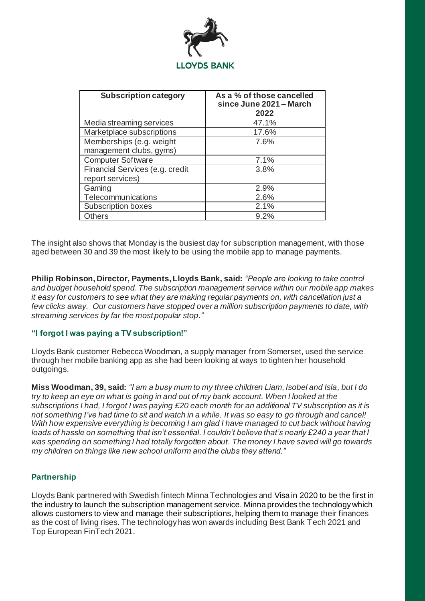

| <b>Subscription category</b>                        | As a % of those cancelled<br>since June 2021 - March<br>2022 |
|-----------------------------------------------------|--------------------------------------------------------------|
| Media streaming services                            | 47.1%                                                        |
| Marketplace subscriptions                           | 17.6%                                                        |
| Memberships (e.g. weight<br>management clubs, gyms) | 7.6%                                                         |
| <b>Computer Software</b>                            | 7.1%                                                         |
| Financial Services (e.g. credit<br>report services) | 3.8%                                                         |
| Gaming                                              | 2.9%                                                         |
| Telecommunications                                  | 2.6%                                                         |
| <b>Subscription boxes</b>                           | 2.1%                                                         |
| <b>Others</b>                                       | 9.2%                                                         |

The insight also shows that Monday is the busiest day for subscription management, with those aged between 30 and 39 the most likely to be using the mobile app to manage payments.

**Philip Robinson, Director, Payments, Lloyds Bank, said:** *"People are looking to take control and budget household spend. The subscription management service within our mobile app makes it easy for customers to see what they are making regular payments on, with cancellation just a few clicks away. Our customers have stopped over a million subscription payments to date, with streaming services by far the most popular stop."*

### **"I forgot I was paying a TV subscription!"**

Lloyds Bank customer Rebecca Woodman, a supply manager from Somerset, used the service through her mobile banking app as she had been looking at ways to tighten her household outgoings.

**Miss Woodman, 39, said:** *"I am a busy mum to my three children Liam, Isobel and Isla, but I do try to keep an eye on what is going in and out of my bank account. When I looked at the subscriptions I had, I forgot I was paying £20 each month for an additional TV subscription as it is not something I've had time to sit and watch in a while. It was so easy to go through and cancel! With how expensive everything is becoming I am glad I have managed to cut back without having loads of hassle on something that isn't essential. I couldn't believe that's nearly £240 a year that I was spending on something I had totally forgotten about. The money I have saved will go towards my children on things like new school uniform and the clubs they attend."*

## **Partnership**

Lloyds Bank partnered with Swedish fintech Minna Technologies and Visa in 2020 to be the first in the industry to launch the subscription management service. Minna provides the technology which allows customers to view and manage their subscriptions, helping them to manage their finances as the cost of living rises. The technology has won awards including Best Bank Tech 2021 and Top European FinTech 2021.